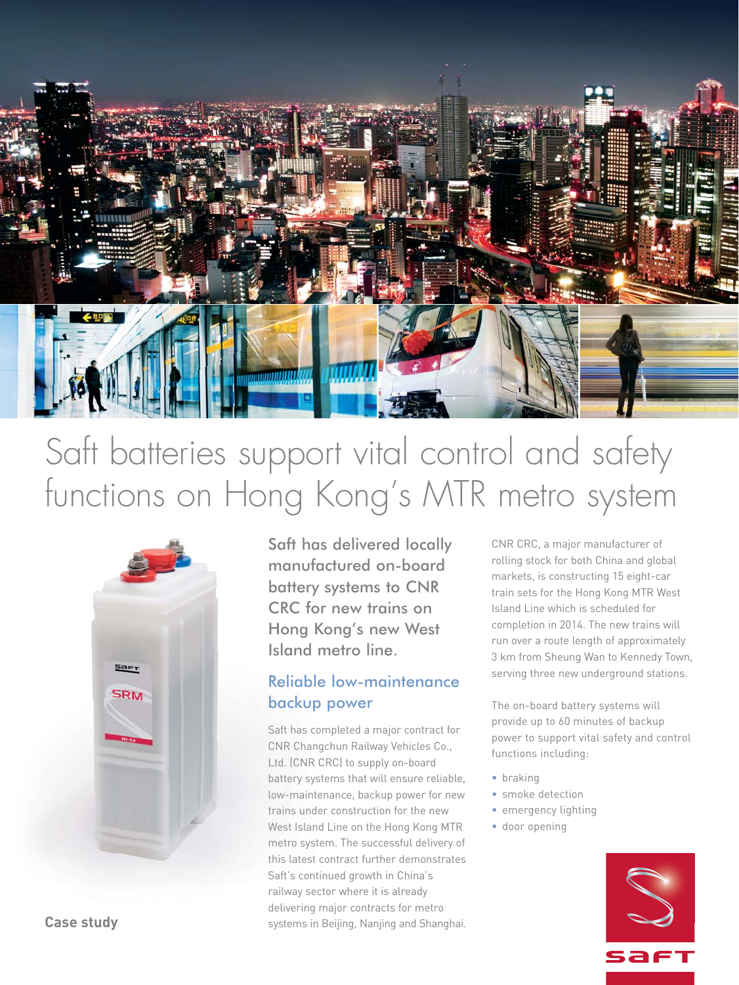

# Saft batteries support vital control and safety functions on Hong Kong's MTR metro system



Saft has delivered locally manufactured on-board battery systems to CNR CRC for new trains on Hong Kong's new West Island metro line.

## Reliable low-maintenance backup power

Saft has completed a major contract for CNR Changchun Railway Vehicles Co., Ltd. (CNR CRC) to supply on-board battery systems that will ensure reliable, low-maintenance, backup power for new trains under construction for the new West Island Line on the Hong Kong MTR metro system. The successful delivery of this latest contract further demonstrates Saft's continued growth in China's railway sector where it is already delivering major contracts for metro systems in Beijing, Nanjing and Shanghai.

CNR CRC, a major manufacturer of rolling stock for both China and global markets, is constructing 15 eight-car train sets for the Hong Kong MTR West Island Line which is scheduled for completion in 2014. The new trains will run over a route length of approximately 3 km from Sheung Wan to Kennedy Town, serving three new underground stations.

The on-board battery systems will provide up to 60 minutes of backup power to support vital safety and control functions including:

- braking
- smoke detection
- emergency lighting
- door opening



**Case study**